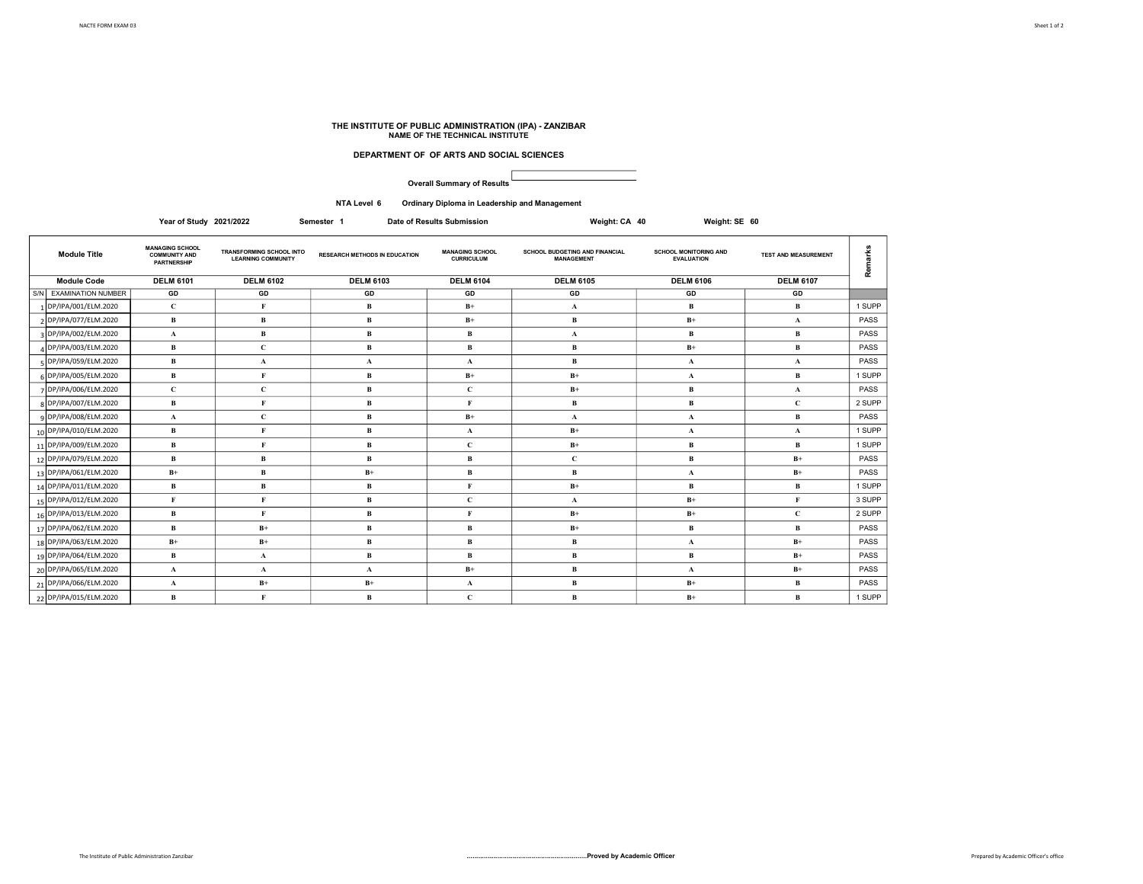## THE INSTITUTE OF PUBLIC ADMINISTRATION (IPA) - ZANZIBAR NAME OF THE TECHNICAL INSTITUTE

## DEPARTMENT OF OF ARTS AND SOCIAL SCIENCES

Overall Summary of Results

NTA Level 6 Ordinary Diploma in Leadership and Management

Year of Study 2021/2022 Semester 1 Date of Results Submission Weight: CA 40 Weight: SE 60

| <b>Module Title</b>    | <b>MANAGING SCHOOL</b><br><b>COMMUNITY AND</b><br><b>PARTNERSHIP</b> | TRANSFORMING SCHOOL INTO<br><b>LEARNING COMMUNITY</b> | <b>RESEARCH METHODS IN EDUCATION</b> | <b>MANAGING SCHOOL</b><br><b>CURRICULUM</b> | SCHOOL BUDGETING AND FINANCIAL<br><b>MANAGEMENT</b> | <b>SCHOOL MONITORING AND</b><br><b>EVALUATION</b> | <b>TEST AND MEASUREMENT</b> | ၕ      |
|------------------------|----------------------------------------------------------------------|-------------------------------------------------------|--------------------------------------|---------------------------------------------|-----------------------------------------------------|---------------------------------------------------|-----------------------------|--------|
| <b>Module Code</b>     | <b>DELM 6101</b>                                                     | <b>DELM 6102</b>                                      | <b>DELM 6103</b>                     | <b>DELM 6104</b>                            | <b>DELM 6105</b>                                    | <b>DELM 6106</b>                                  | <b>DELM 6107</b>            |        |
| S/N EXAMINATION NUMBER | GD                                                                   | GD                                                    | GD                                   | GD                                          | GD                                                  | GD                                                | GD                          |        |
| 1 DP/IPA/001/ELM.2020  | $\mathbf{C}$                                                         |                                                       | R                                    | $B+$                                        | A                                                   | B                                                 | В                           | 1 SUPP |
| 2 DP/IPA/077/ELM.2020  | B                                                                    | B                                                     | в                                    | $B+$                                        | B                                                   | $B+$                                              | $\mathbf{A}$                | PASS   |
| 3 DP/IPA/002/ELM.2020  | $\mathbf{A}$                                                         | B                                                     | B                                    | в                                           | $\mathbf{A}$                                        | B                                                 | B                           | PASS   |
| 4 DP/IPA/003/ELM.2020  | B                                                                    | $\mathbf C$                                           | B                                    | в                                           | B                                                   | $B+$                                              | В                           | PASS   |
| 5 DP/IPA/059/ELM.2020  | $\bf{B}$                                                             | A                                                     | $\mathbf{A}$                         | A                                           | B                                                   | $\mathbf{A}$                                      | $\mathbf{A}$                | PASS   |
| 6 DP/IPA/005/ELM.2020  | $\mathbf{B}$                                                         |                                                       | R                                    | $B+$                                        | $B+$                                                | A                                                 | <b>B</b>                    | 1 SUPP |
| 7 DP/IPA/006/ELM.2020  | $\mathbf{C}$                                                         | $\mathbf C$                                           | B                                    | C                                           | $B+$                                                | B                                                 | $\mathbf{A}$                | PASS   |
| 8 DP/IPA/007/ELM.2020  | B                                                                    | E.                                                    | $\mathbf R$                          | F                                           | B                                                   | B                                                 | $\mathbf{C}$                | 2 SUPP |
| q DP/IPA/008/ELM.2020  | $\mathbf{A}$                                                         | C                                                     | <b>B</b>                             | $B+$                                        | $\mathbf{A}$                                        | $\mathbf{A}$                                      | B                           | PASS   |
| 10 DP/IPA/010/ELM.2020 | B                                                                    |                                                       | <b>B</b>                             | $\mathbf{A}$                                | $B+$                                                | $\mathbf{A}$                                      | $\mathbf{A}$                | 1 SUPP |
| 11 DP/IPA/009/ELM.2020 | B                                                                    |                                                       | B                                    | $\mathbf{C}$                                | $B+$                                                | в                                                 | В                           | 1 SUPP |
| 12 DP/IPA/079/ELM.2020 | B                                                                    | B                                                     | R                                    | в                                           | C                                                   | B                                                 | $B+$                        | PASS   |
| 13 DP/IPA/061/ELM.2020 | $B+$                                                                 | B                                                     | $B+$                                 | B                                           | R                                                   | A                                                 | $B+$                        | PASS   |
| 14 DP/IPA/011/ELM.2020 | B                                                                    | B                                                     | R                                    | F                                           | $B+$                                                | B                                                 | В                           | 1 SUPP |
| 15 DP/IPA/012/ELM.2020 | F                                                                    | F                                                     | R                                    | $\mathbf{C}$                                | A                                                   | $B+$                                              | $\mathbf{F}$                | 3 SUPP |
| 16 DP/IPA/013/ELM.2020 | B                                                                    |                                                       | R                                    | F                                           | $B+$                                                | $B+$                                              | $\mathbf{C}$                | 2 SUPP |
| 17 DP/IPA/062/ELM.2020 | $\mathbf{B}$                                                         | $B+$                                                  | <b>B</b>                             | <b>B</b>                                    | $B+$                                                | В                                                 | В                           | PASS   |
| 18 DP/IPA/063/ELM.2020 | $B+$                                                                 | $B+$                                                  | в                                    | в                                           | B                                                   | $\mathbf{A}$                                      | $B+$                        | PASS   |
| 19 DP/IPA/064/ELM.2020 | B                                                                    | $\mathbf{A}$                                          | R                                    | R                                           | B                                                   | в                                                 | $B+$                        | PASS   |
| 20 DP/IPA/065/ELM.2020 | $\mathbf{A}$                                                         | A                                                     | $\mathbf{A}$                         | $B+$                                        | B                                                   | $\mathbf{A}$                                      | $B+$                        | PASS   |
| 21 DP/IPA/066/ELM.2020 | $\mathbf{A}$                                                         | $B+$                                                  | $B+$                                 | $\mathbf{A}$                                | B                                                   | $B+$                                              | $\mathbf{B}$                | PASS   |
| 22 DP/IPA/015/ELM.2020 | R                                                                    |                                                       | B                                    | C                                           |                                                     | $B+$                                              | <b>B</b>                    | 1 SUPP |